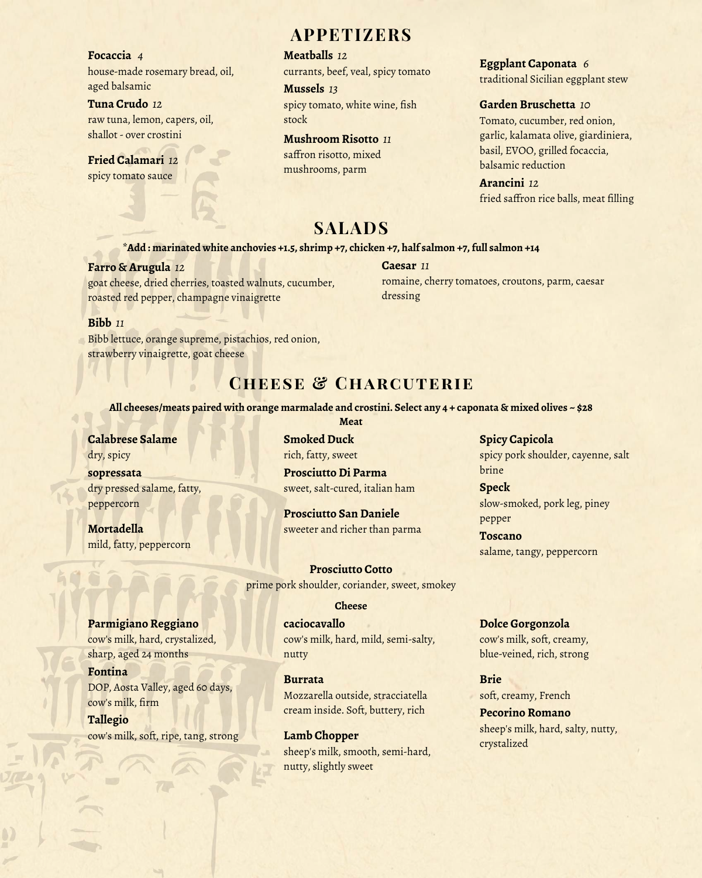**Focaccia** *4* house-made rosemary bread, oil, aged balsamic

**Tuna Crudo** *12* raw tuna, lemon, capers, oil,

shallot - over crostini

spicy tomato sauce

# **APPETIZERS**

### **Meatballs** *12*

**Mussels** *13* spicy tomato, white wine, fish stock

### **Mushroom Risotto** *11*

**Fried Calamari** 12 **Fried Calamari 12 Fried Calamari 12** *p p p p p p p p p p p p p p p p p p p p p p p p p p p* saffron risotto, mixed mushrooms, parm

### currants, beef, veal, spicy tomato **Eggplant Caponata** *<sup>6</sup>* traditional Sicilian eggplant stew

### **Garden Bruschetta** *10*

Tomato, cucumber, red onion, garlic, kalamata olive, giardiniera, basil, EVOO, grilled focaccia,

**Arancini** *12* fried saffron rice balls, meat filling

# **SALADS**

**Caesar** *11*

dressing

#### **\*Add : marinated white anchovies +1.5, shrimp +7, chicken +7, half salmon +7, full salmon +14**

### **Farro & Arugula** *12*

goat cheese, dried cherries, toasted walnuts, cucumber, roasted red pepper, champagne vinaigrette

#### **Bibb** *11*

Bibb lettuce, orange supreme, pistachios, red onion, strawberry vinaigrette, goat cheese

# **Cheese & Charcuterie**

**All cheeses/meats paired with orange marmalade and crostini. Select any 4 + caponata & mixed olives ~ \$28**

**Calabrese Salame** dry, spicy

dry pressed salame, fatty, peppercorn

**Mortadella** mild, fatty, peppercorn

### **Meat**

**Smoked Duck** rich, fatty, sweet

brine **sopressata Prosciutto Di Parma** sweet, salt-cured, italian ham **Speck**

> **Prosciutto San Daniele** sweeter and richer than parma **Toscano**

**Prosciutto Cotto** prime pork shoulder, coriander, sweet, smokey

### **Cheese**

### **caciocavallo** cow's milk, hard, mild, semi-salty,

nutty

**Burrata** Mozzarella outside, stracciatella cream inside. Soft, buttery, rich

sheep's milk, smooth, semi-hard, nutty, slightly sweet

# **Spicy Capicola**

romaine, cherry tomatoes, croutons, parm, caesar

spicy pork shoulder, cayenne, salt

slow-smoked, pork leg, piney pepper

salame, tangy, peppercorn

**Dolce Gorgonzola** cow's milk, soft, creamy, blue-veined, rich, strong

**Brie** soft, creamy, French

**Pecorino Romano** sheep's milk, hard, salty, nutty, crystalized

**Parmigiano Reggiano**

cow's milk, hard, crystalized, sharp, aged 24 months

**Fontina** DOP, Aosta Valley, aged 60 days, cow's milk, firm

**Tallegio** cow's milk, soft, ripe, tang, strong **Lamb Chopper**